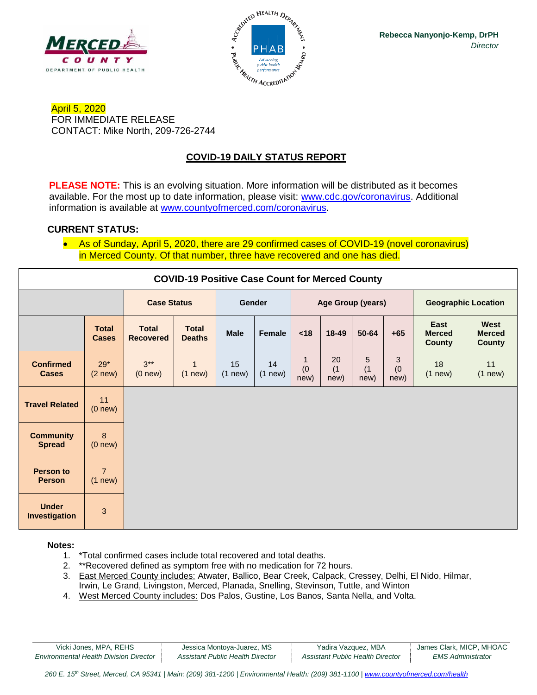



April 5, 2020 FOR IMMEDIATE RELEASE CONTACT: Mike North, 209-726-2744

### **COVID-19 DAILY STATUS REPORT**

**PLEASE NOTE:** This is an evolving situation. More information will be distributed as it becomes available. For the most up to date information, please visit: [www.cdc.gov/coronavirus.](http://www.cdc.gov/coronavirus) Additional information is available at [www.countyofmerced.com/coronavirus.](http://www.countyofmerced.com/coronavirus)

### **CURRENT STATUS:**

• As of Sunday, April 5, 2020, there are 29 confirmed cases of COVID-19 (novel coronavirus) in Merced County. Of that number, three have recovered and one has died.

| <b>COVID-19 Positive Case Count for Merced County</b> |                                |                                  |                               |                    |                    |                   |                   |                  |                  |                                        |                                        |
|-------------------------------------------------------|--------------------------------|----------------------------------|-------------------------------|--------------------|--------------------|-------------------|-------------------|------------------|------------------|----------------------------------------|----------------------------------------|
|                                                       |                                | <b>Case Status</b>               |                               | Gender             |                    | Age Group (years) |                   |                  |                  | <b>Geographic Location</b>             |                                        |
|                                                       | <b>Total</b><br><b>Cases</b>   | <b>Total</b><br><b>Recovered</b> | <b>Total</b><br><b>Deaths</b> | <b>Male</b>        | Female             | < 18              | $18 - 49$         | 50-64            | $+65$            | East<br><b>Merced</b><br><b>County</b> | West<br><b>Merced</b><br><b>County</b> |
| <b>Confirmed</b><br><b>Cases</b>                      | $29*$<br>$(2$ new $)$          | $3***$<br>(0 new)                | $\mathbf{1}$<br>$(1$ new $)$  | 15<br>$(1$ new $)$ | 14<br>$(1$ new $)$ | 1<br>(0)<br>new)  | 20<br>(1)<br>new) | 5<br>(1)<br>new) | 3<br>(0)<br>new) | 18<br>$(1$ new $)$                     | 11<br>$(1$ new $)$                     |
| <b>Travel Related</b>                                 | 11<br>(0 new)                  |                                  |                               |                    |                    |                   |                   |                  |                  |                                        |                                        |
| <b>Community</b><br><b>Spread</b>                     | 8<br>(0 new)                   |                                  |                               |                    |                    |                   |                   |                  |                  |                                        |                                        |
| <b>Person to</b><br><b>Person</b>                     | $\overline{7}$<br>$(1$ new $)$ |                                  |                               |                    |                    |                   |                   |                  |                  |                                        |                                        |
| <b>Under</b><br><b>Investigation</b>                  | 3                              |                                  |                               |                    |                    |                   |                   |                  |                  |                                        |                                        |

#### **Notes:**

- 1. \*Total confirmed cases include total recovered and total deaths.
- 2. \*\*Recovered defined as symptom free with no medication for 72 hours.
- 3. East Merced County includes: Atwater, Ballico, Bear Creek, Calpack, Cressey, Delhi, El Nido, Hilmar, Irwin, Le Grand, Livingston, Merced, Planada, Snelling, Stevinson, Tuttle, and Winton
- 4. West Merced County includes: Dos Palos, Gustine, Los Banos, Santa Nella, and Volta.

| Vicki Jones, MPA, REHS                        | Jessica Montoya-Juarez, MS       | Yadira Vazquez, MBA              | James Clark, MICP, MHOAC |
|-----------------------------------------------|----------------------------------|----------------------------------|--------------------------|
| <b>Environmental Health Division Director</b> | Assistant Public Health Director | Assistant Public Health Director | <i>EMS Administrator</i> |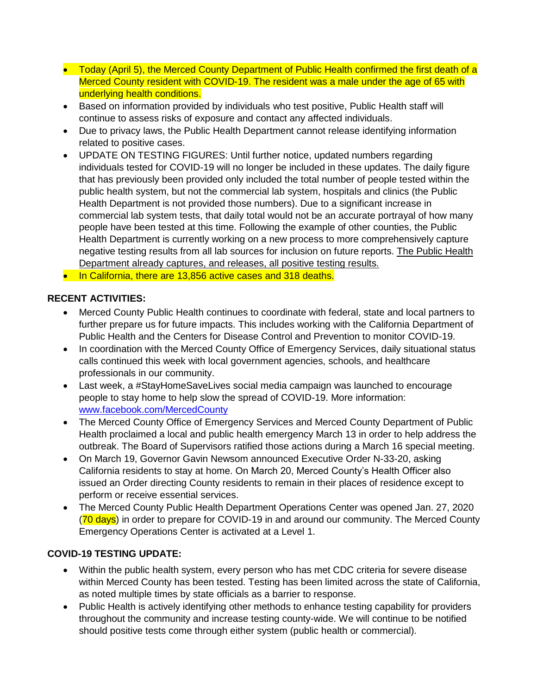- Today (April 5), the Merced County Department of Public Health confirmed the first death of a Merced County resident with COVID-19. The resident was a male under the age of 65 with underlying health conditions.
- Based on information provided by individuals who test positive, Public Health staff will continue to assess risks of exposure and contact any affected individuals.
- Due to privacy laws, the Public Health Department cannot release identifying information related to positive cases.
- UPDATE ON TESTING FIGURES: Until further notice, updated numbers regarding individuals tested for COVID-19 will no longer be included in these updates. The daily figure that has previously been provided only included the total number of people tested within the public health system, but not the commercial lab system, hospitals and clinics (the Public Health Department is not provided those numbers). Due to a significant increase in commercial lab system tests, that daily total would not be an accurate portrayal of how many people have been tested at this time. Following the example of other counties, the Public Health Department is currently working on a new process to more comprehensively capture negative testing results from all lab sources for inclusion on future reports. The Public Health Department already captures, and releases, all positive testing results.
- In California, there are 13,856 active cases and 318 deaths.

### **RECENT ACTIVITIES:**

- Merced County Public Health continues to coordinate with federal, state and local partners to further prepare us for future impacts. This includes working with the California Department of Public Health and the Centers for Disease Control and Prevention to monitor COVID-19.
- In coordination with the Merced County Office of Emergency Services, daily situational status calls continued this week with local government agencies, schools, and healthcare professionals in our community.
- Last week, a #StayHomeSaveLives social media campaign was launched to encourage people to stay home to help slow the spread of COVID-19. More information: [www.facebook.com/MercedCounty](http://www.facebook.com/MercedCounty)
- The Merced County Office of Emergency Services and Merced County Department of Public Health proclaimed a local and public health emergency March 13 in order to help address the outbreak. The Board of Supervisors ratified those actions during a March 16 special meeting.
- On March 19, Governor Gavin Newsom announced Executive Order N-33-20, asking California residents to stay at home. On March 20, Merced County's Health Officer also issued an Order directing County residents to remain in their places of residence except to perform or receive essential services.
- The Merced County Public Health Department Operations Center was opened Jan. 27, 2020 (70 days) in order to prepare for COVID-19 in and around our community. The Merced County Emergency Operations Center is activated at a Level 1.

### **COVID-19 TESTING UPDATE:**

- Within the public health system, every person who has met CDC criteria for severe disease within Merced County has been tested. Testing has been limited across the state of California, as noted multiple times by state officials as a barrier to response.
- Public Health is actively identifying other methods to enhance testing capability for providers throughout the community and increase testing county-wide. We will continue to be notified should positive tests come through either system (public health or commercial).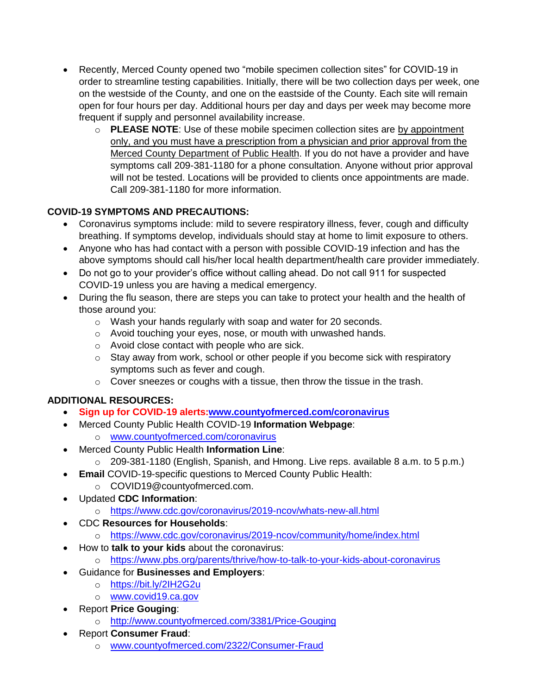- Recently, Merced County opened two "mobile specimen collection sites" for COVID-19 in order to streamline testing capabilities. Initially, there will be two collection days per week, one on the westside of the County, and one on the eastside of the County. Each site will remain open for four hours per day. Additional hours per day and days per week may become more frequent if supply and personnel availability increase.
	- o **PLEASE NOTE**: Use of these mobile specimen collection sites are by appointment only, and you must have a prescription from a physician and prior approval from the Merced County Department of Public Health. If you do not have a provider and have symptoms call 209-381-1180 for a phone consultation. Anyone without prior approval will not be tested. Locations will be provided to clients once appointments are made. Call 209-381-1180 for more information.

# **COVID-19 SYMPTOMS AND PRECAUTIONS:**

- Coronavirus symptoms include: mild to severe respiratory illness, fever, cough and difficulty breathing. If symptoms develop, individuals should stay at home to limit exposure to others.
- Anyone who has had contact with a person with possible COVID-19 infection and has the above symptoms should call his/her local health department/health care provider immediately.
- Do not go to your provider's office without calling ahead. Do not call 911 for suspected COVID-19 unless you are having a medical emergency.
- During the flu season, there are steps you can take to protect your health and the health of those around you:
	- o Wash your hands regularly with soap and water for 20 seconds.
	- o Avoid touching your eyes, nose, or mouth with unwashed hands.
	- o Avoid close contact with people who are sick.
	- o Stay away from work, school or other people if you become sick with respiratory symptoms such as fever and cough.
	- o Cover sneezes or coughs with a tissue, then throw the tissue in the trash.

# **ADDITIONAL RESOURCES:**

- **Sign up for COVID-19 alerts[:www.countyofmerced.com/coronavirus](http://www.countyofmerced.com/coronavirus)**
- Merced County Public Health COVID-19 **Information Webpage**:
	- o [www.countyofmerced.com/coronavirus](http://www.countyofmerced.com/coronavirus)
- Merced County Public Health **Information Line**:
	- o 209-381-1180 (English, Spanish, and Hmong. Live reps. available 8 a.m. to 5 p.m.)
- **Email** COVID-19-specific questions to Merced County Public Health:
	- o COVID19@countyofmerced.com.
- Updated **CDC Information**:
	- o <https://www.cdc.gov/coronavirus/2019-ncov/whats-new-all.html>
- CDC **Resources for Households**:
	- o <https://www.cdc.gov/coronavirus/2019-ncov/community/home/index.html>
- How to **talk to your kids** about the coronavirus:
	- o <https://www.pbs.org/parents/thrive/how-to-talk-to-your-kids-about-coronavirus>
- Guidance for **Businesses and Employers**:
	- o <https://bit.ly/2IH2G2u>
	- o [www.covid19.ca.gov](http://www.covid19.ca.gov/)
- Report **Price Gouging**:
	- o <http://www.countyofmerced.com/3381/Price-Gouging>
- Report **Consumer Fraud**:
	- o [www.countyofmerced.com/2322/Consumer-Fraud](http://www.countyofmerced.com/2322/Consumer-Fraud)